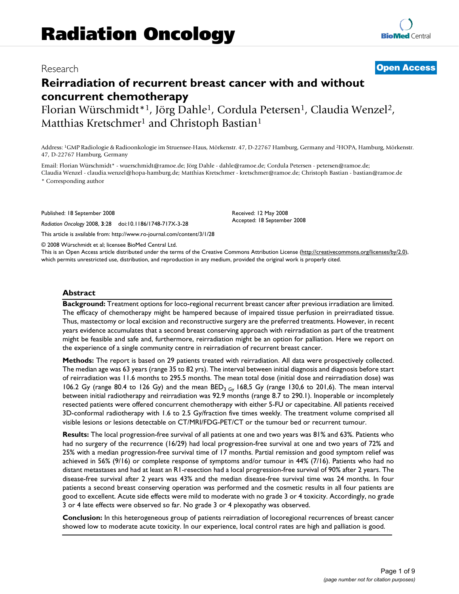## Research **[Open Access](http://www.biomedcentral.com/info/about/charter/)**

# **Reirradiation of recurrent breast cancer with and without concurrent chemotherapy**

Florian Würschmidt\*<sup>1</sup>, Jörg Dahle<sup>1</sup>, Cordula Petersen<sup>1</sup>, Claudia Wenzel<sup>2</sup>, Matthias Kretschmer<sup>1</sup> and Christoph Bastian<sup>1</sup>

Address: 1GMP Radiologie & Radioonkologie im Struensee-Haus, Mörkenstr. 47, D-22767 Hamburg, Germany and 2HOPA, Hamburg, Mörkenstr. 47, D-22767 Hamburg, Germany

Email: Florian Würschmidt\* - wuerschmidt@ramoe.de; Jörg Dahle - dahle@ramoe.de; Cordula Petersen - petersen@ramoe.de; Claudia Wenzel - claudia.wenzel@hopa-hamburg.de; Matthias Kretschmer - kretschmer@ramoe.de; Christoph Bastian - bastian@ramoe.de \* Corresponding author

Published: 18 September 2008

*Radiation Oncology* 2008, **3**:28 doi:10.1186/1748-717X-3-28

[This article is available from: http://www.ro-journal.com/content/3/1/28](http://www.ro-journal.com/content/3/1/28)

© 2008 Würschmidt et al; licensee BioMed Central Ltd.

This is an Open Access article distributed under the terms of the Creative Commons Attribution License [\(http://creativecommons.org/licenses/by/2.0\)](http://creativecommons.org/licenses/by/2.0), which permits unrestricted use, distribution, and reproduction in any medium, provided the original work is properly cited.

Received: 12 May 2008 Accepted: 18 September 2008

#### **Abstract**

**Background:** Treatment options for loco-regional recurrent breast cancer after previous irradiation are limited. The efficacy of chemotherapy might be hampered because of impaired tissue perfusion in preirradiated tissue. Thus, mastectomy or local excision and reconstructive surgery are the preferred treatments. However, in recent years evidence accumulates that a second breast conserving approach with reirradiation as part of the treatment might be feasible and safe and, furthermore, reirradiation might be an option for palliation. Here we report on the experience of a single community centre in reirradiation of recurrent breast cancer.

**Methods:** The report is based on 29 patients treated with reirradiation. All data were prospectively collected. The median age was 63 years (range 35 to 82 yrs). The interval between initial diagnosis and diagnosis before start of reirradiation was 11.6 months to 295.5 months. The mean total dose (initial dose and reirradiation dose) was 106.2 Gy (range 80.4 to 126 Gy) and the mean BED<sub>3 Gy</sub> 168,5 Gy (range 130,6 to 201,6). The mean interval between initial radiotherapy and reirradiation was 92.9 months (range 8.7 to 290.1). Inoperable or incompletely resected patients were offered concurrent chemotherapy with either 5-FU or capecitabine. All patients received 3D-conformal radiotherapy with 1.6 to 2.5 Gy/fraction five times weekly. The treatment volume comprised all visible lesions or lesions detectable on CT/MRI/FDG-PET/CT or the tumour bed or recurrent tumour.

**Results:** The local progression-free survival of all patients at one and two years was 81% and 63%. Patients who had no surgery of the recurrence (16/29) had local progression-free survival at one and two years of 72% and 25% with a median progression-free survival time of 17 months. Partial remission and good symptom relief was achieved in 56% (9/16) or complete response of symptoms and/or tumour in 44% (7/16). Patients who had no distant metastases and had at least an R1-resection had a local progression-free survival of 90% after 2 years. The disease-free survival after 2 years was 43% and the median disease-free survival time was 24 months. In four patients a second breast conserving operation was performed and the cosmetic results in all four patients are good to excellent. Acute side effects were mild to moderate with no grade 3 or 4 toxicity. Accordingly, no grade 3 or 4 late effects were observed so far. No grade 3 or 4 plexopathy was observed.

**Conclusion:** In this heterogeneous group of patients reirradiation of locoregional recurrences of breast cancer showed low to moderate acute toxicity. In our experience, local control rates are high and palliation is good.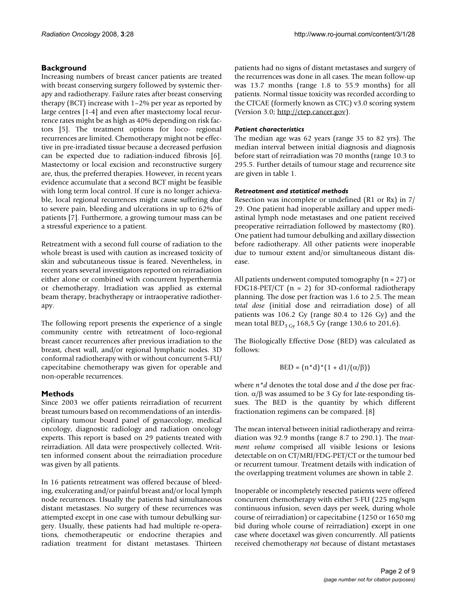### **Background**

Increasing numbers of breast cancer patients are treated with breast conserving surgery followed by systemic therapy and radiotherapy. Failure rates after breast conserving therapy (BCT) increase with 1–2% per year as reported by large centres [1-4] and even after mastectomy local recurrence rates might be as high as 40% depending on risk factors [5]. The treatment options for loco- regional recurrences are limited. Chemotherapy might not be effective in pre-irradiated tissue because a decreased perfusion can be expected due to radiation-induced fibrosis [6]. Mastectomy or local excision and reconstructive surgery are, thus, the preferred therapies. However, in recent years evidence accumulate that a second BCT might be feasible with long term local control. If cure is no longer achievable, local regional recurrences might cause suffering due to severe pain, bleeding and ulcerations in up to 62% of patients [7]. Furthermore, a growing tumour mass can be a stressful experience to a patient.

Retreatment with a second full course of radiation to the whole breast is used with caution as increased toxicity of skin and subcutaneous tissue is feared. Nevertheless, in recent years several investigators reported on reirradiation either alone or combined with concurrent hyperthermia or chemotherapy. Irradiation was applied as external beam therapy, brachytherapy or intraoperative radiotherapy.

The following report presents the experience of a single community centre with retreatment of loco-regional breast cancer recurrences after previous irradiation to the breast, chest wall, and/or regional lymphatic nodes. 3D conformal radiotherapy with or without concurrent 5-FU/ capecitabine chemotherapy was given for operable and non-operable recurrences.

#### **Methods**

Since 2003 we offer patients reirradiation of recurrent breast tumours based on recommendations of an interdisciplinary tumour board panel of gynaecology, medical oncology, diagnostic radiology and radiation oncology experts. This report is based on 29 patients treated with reirradiation. All data were prospectively collected. Written informed consent about the reirradiation procedure was given by all patients.

In 16 patients retreatment was offered because of bleeding, exulcerating and/or painful breast and/or local lymph node recurrences. Usually the patients had simultaneous distant metastases. No surgery of these recurrences was attempted except in one case with tumour debulking surgery. Usually, these patients had had multiple re-operations, chemotherapeutic or endocrine therapies and radiation treatment for distant metastases. Thirteen

patients had no signs of distant metastases and surgery of the recurrences was done in all cases. The mean follow-up was 13.7 months (range 1.8 to 55.9 months) for all patients. Normal tissue toxicity was recorded according to the CTCAE (formerly known as CTC) v3.0 scoring system (Version 3.0; <http://ctep.cancer.gov>).

#### *Patient characteristics*

The median age was 62 years (range 35 to 82 yrs). The median interval between initial diagnosis and diagnosis before start of reirradiation was 70 months (range 10.3 to 295.5. Further details of tumour stage and recurrence site are given in table 1.

#### *Retreatment and statistical methods*

Resection was incomplete or undefined (R1 or Rx) in 7/ 29. One patient had inoperable axillary and upper mediastinal lymph node metastases and one patient received preoperative reirradiation followed by mastectomy (R0). One patient had tumour debulking and axillary dissection before radiotherapy. All other patients were inoperable due to tumour extent and/or simultaneous distant disease.

All patients underwent computed tomography ( $n = 27$ ) or FDG18-PET/CT  $(n = 2)$  for 3D-conformal radiotherapy planning. The dose per fraction was 1.6 to 2.5. The mean *total dose* (initial dose and reirradiation dose) of all patients was 106.2 Gy (range 80.4 to 126 Gy) and the mean total  $BED_{3\text{ Gy}}$  168,5 Gy (range 130,6 to 201,6).

The Biologically Effective Dose (BED) was calculated as follows:

$$
BED = (n^*d)^*(1 + d1/(\alpha/\beta))
$$

where *n\*d* denotes the total dose and *d* the dose per fraction.  $\alpha/\beta$  was assumed to be 3 Gy for late-responding tissues. The BED is the quantity by which different fractionation regimens can be compared. [8]

The mean interval between initial radiotherapy and reirradiation was 92.9 months (range 8.7 to 290.1). The *treatment volume* comprised all visible lesions or lesions detectable on on CT/MRI/FDG-PET/CT or the tumour bed or recurrent tumour. Treatment details with indication of the overlapping treatment volumes are shown in table 2.

Inoperable or incompletely resected patients were offered concurrent chemotherapy with either 5-FU (225 mg/sqm continuous infusion, seven days per week, during whole course of reirradiation) or capecitabine (1250 or 1650 mg bid during whole course of reirradiation) except in one case where docetaxel was given concurrently. All patients received chemotherapy *not* because of distant metastases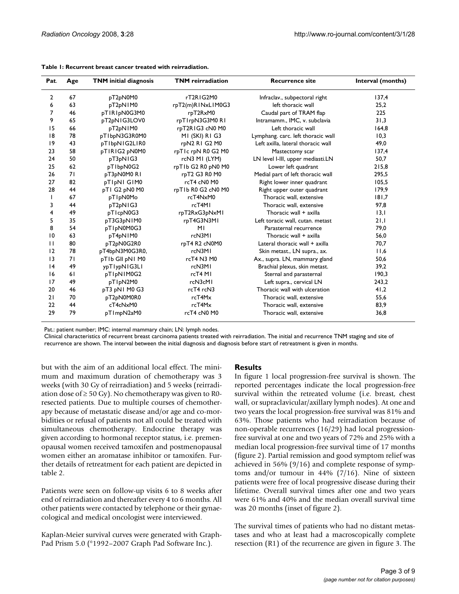| Pat.           | Age | <b>TNM</b> initial diagnosis | <b>TNM</b> reirradiation | <b>Recurrence site</b>             | Interval (months) |  |
|----------------|-----|------------------------------|--------------------------|------------------------------------|-------------------|--|
| $\overline{2}$ | 67  | pT2pN0M0                     | rT2RIG2M0                | Infraclav., subpectoral right      | 137,4             |  |
| 6              | 63  | pT2pN1M0                     | rpT2(m)RINxLIM0G3        | left thoracic wall                 | 25,2              |  |
| 7              | 46  | pTIRIpN0G3M0                 | rpT2RxM0                 | Caudal part of TRAM flap           | 225               |  |
| 9              | 65  | pT2pNIG3LOV0                 | rpTIrpN3G3M0RI           | Intramamm., IMC, v. subclavia      | 31,3              |  |
| 15             | 66  | pT2pNIM0                     | rpT2RIG3 cN0 M0          | Left thoracic wall                 | 164,8             |  |
| 8              | 78  | pTIbpN3G3R0M0                | MI (SKI) RI G3           | Lymphang. carc. left thoracic wall | 10,3              |  |
| 9              | 43  | pTIbpNIG2LIR0                | rpN2 R1 G2 M0            | Left axilla, lateral thoracic wall | 49,0              |  |
| 23             | 58  | pTIRIG2 pN0M0                | rpTIc rpN R0 G2 M0       | Mastectomy scar                    | 137,4             |  |
| 24             | 50  | pT3pN1G3                     | rcN3 MI (LYM)            | LN level I-III, upper mediasti.LN  | 50,7              |  |
| 25             | 62  | pTIbpN0G2                    | rpTIb G2 R0 pN0 M0       | Lower left quadrant                | 215,8             |  |
| 26             | 71  | pT3pN0M0RI                   | rpT2 G3 R0 M0            | Medial part of left thoracic wall  | 295,5             |  |
| 27             | 82  | pTIpNI GIM0                  | rcT4 cN0 M0              | Right lower inner quadrant         | 105,5             |  |
| 28             | 44  | pTI G2 pN0 M0                | rpT1b R0 G2 cN0 M0       | Right upper outer quadrant         | 179,9             |  |
|                | 67  | pTIpN0Mo                     | rcT4NxM0                 | Thoracic wall, extensive           | 181,7             |  |
| 3              | 44  | pT2pNIG3                     | rcT4MI                   | Thoracic wall, extensive           | 97,8              |  |
| 4              | 49  | pTIcpN0G3                    | rpT2RxG3pNxMI            | Thoracic wall + axilla             | 13,1              |  |
| 5              | 35  | pT3G3pN1M0                   | rpT4G3N3MI               | Left toracic wall, cutan. metast   | 21,1              |  |
| 8              | 54  | pTIpN0M0G3                   | M <sub>l</sub>           | Parasternal recurrence             | 79,0              |  |
| 10             | 63  | pT4pN1M0                     | rcN3M1                   | Thoracic wall + axilla             | 56,0              |  |
| $\mathbf{H}$   | 80  | pT2pN0G2R0                   | rpT4 R2 cN0M0            | Lateral thoracic wall + axilla     | 70,7              |  |
| 12             | 78  | pT4bpN3M0G3R0,               | rcN3MI                   | Skin metast., LN supra., ax.       | 11,6              |  |
| 3              | 71  | pTIb GII pNI M0              | rcT4 N3 M0               | Ax., supra. LN, mammary gland      | 50,6              |  |
| 4              | 49  | ypTlypNIG3LI                 | rcN3M1                   | Brachial plexus, skin metast.      | 39,2              |  |
| 16             | 61  | pTIpNIM0G2                   | rcT4 MI                  | Sternal and parasternal            | 190,3             |  |
| 17             | 49  | pTIpN2M0                     | rcN3cM1                  | Left supra., cervical LN           | 243,2             |  |
| 20             | 46  | pT3 pN1 M0 G3                | rcT4 rcN3                | Thoracic wall with ulceration      | 41,2              |  |
| 21             | 70  | pT2pN0M0R0                   | rcT4Mx                   | Thoracic wall, extensive           | 55,6              |  |
| 22             | 44  | cT4cNxM0                     | rcT4Mx                   | Thoracic wall, extensive           | 83,9              |  |
| 29             | 79  | pTImpN2aM0                   | rcT4 cN0 M0              | Thoracic wall, extensive           | 36,8              |  |

**Table 1: Recurrent breast cancer treated with reirradiation.** 

Pat.: patient number; IMC: internal mammary chain; LN: lymph nodes.

Clinical characteristics of recurrent breast carcinoma patients treated with reirradiation. The initial and recurrence TNM staging and site of recurrence are shown. The interval between the initial diagnosis and diagnosis before start of retreatment is given in months.

but with the aim of an additional local effect. The minimum and maximum duration of chemotherapy was 3 weeks (with 30 Gy of reirradiation) and 5 weeks (reirradiation dose of  $\geq 50$  Gy). No chemotherapy was given to R0resected patients. Due to multiple courses of chemotherapy because of metastatic disease and/or age and co-morbidities or refusal of patients not all could be treated with simultaneous chemotherapy. Endocrine therapy was given according to hormonal receptor status, i.e. premenopausal women received tamoxifen and postmenopausal women either an aromatase inhibitor or tamoxifen. Further details of retreatment for each patient are depicted in table 2.

Patients were seen on follow-up visits 6 to 8 weeks after end of reirradiation and thereafter every 4 to 6 months. All other patients were contacted by telephone or their gynaecological and medical oncologist were interviewed.

Kaplan-Meier survival curves were generated with Graph-Pad Prism 5.0 (©1992–2007 Graph Pad Software Inc.).

#### **Results**

In figure 1 local progression-free survival is shown. The reported percentages indicate the local progression-free survival within the retreated volume (i.e. breast, chest wall, or supraclavicular/axillary lymph nodes). At one and two years the local progression-free survival was 81% and 63%. Those patients who had reirradiation because of non-operable recurrences (16/29) had local progressionfree survival at one and two years of 72% and 25% with a median local progression-free survival time of 17 months (figure 2). Partial remission and good symptom relief was achieved in 56% (9/16) and complete response of symptoms and/or tumour in 44% (7/16). Nine of sixteen patients were free of local progressive disease during their lifetime. Overall survival times after one and two years were 61% and 40% and the median overall survival time was 20 months (inset of figure 2).

The survival times of patients who had no distant metastases and who at least had a macroscopically complete resection (R1) of the recurrence are given in figure 3. The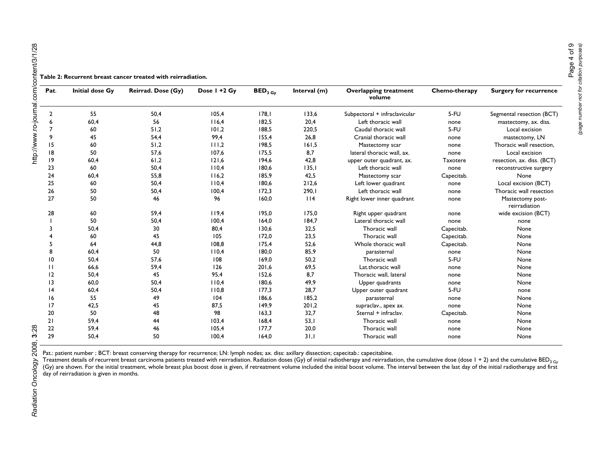| Pat.            | <b>Initial dose Gy</b> | Reirrad. Dose (Gy) | Dose I +2 Gy | $\mathbf{BED}_{3\ \mathsf{G}\mathsf{y}}$ | Interval (m) | <b>Overlapping treatment</b><br>volume | Chemo-therapy   | <b>Surgery for recurrence</b>     |
|-----------------|------------------------|--------------------|--------------|------------------------------------------|--------------|----------------------------------------|-----------------|-----------------------------------|
| $\overline{2}$  | 55                     | 50,4               | 105,4        | 178,1                                    | 133,6        | Subpectoral + infraclavicular          | $5-FU$          | Segmental resection (BCT)         |
|                 | 60,4                   | 56                 | 116,4        | 182,5                                    | 20,4         | Left thoracic wall                     | none            | mastectomy, ax. diss.             |
|                 | 60                     | 51,2               | 101,2        | 188,5                                    | 220,5        | Caudal thoracic wall                   | $5-FU$          | Local excision                    |
| 9               | 45                     | 54,4               | 99,4         | 155,4                                    | 26,8         | Cranial thoracic wall                  | none            | mastectomy, LN                    |
| 15              | 60                     | 51,2               | 111,2        | 198,5                                    | 161,5        | Mastectomy scar                        | none            | Thoracic wall resection,          |
| 18              | 50                     | 57,6               | 107,6        | 175,5                                    | 8,7          | lateral thoracic wall, ax.             | none            | Local excision                    |
| 19              | 60,4                   | 61,2               | 121,6        | 194,6                                    | 42,8         | upper outer quadrant, ax.              | <b>Taxotere</b> | resection, ax. diss. (BCT)        |
| 23              | 60                     | 50,4               | 110,4        | 180,6                                    | 135,1        | Left thoracic wall                     | none            | reconstructive surgery            |
| 24              | 60,4                   | 55,8               | 116,2        | 185,9                                    | 42,5         | Mastectomy scar                        | Capecitab.      | None                              |
| 25              | 60                     | 50,4               | 110.4        | 180,6                                    | 212,6        | Left lower quadrant                    | none            | Local excision (BCT)              |
| 26              | 50                     | 50,4               | 100,4        | 172,3                                    | 290,1        | Left thoracic wall                     | none            | Thoracic wall resection           |
| 27              | 50                     | 46                 | 96           | 160,0                                    | 114          | Right lower inner quadrant             | none            | Mastectomy post-<br>reirradiation |
| 28              | 60                     | 59,4               | 119,4        | 195,0                                    | 175,0        | Right upper quadrant                   | none            | wide excision (BCT)               |
|                 | 50                     | 50,4               | 100,4        | 164,0                                    | 184,7        | Lateral thoracic wall                  | none            | none                              |
|                 | 50,4                   | 30                 | 80,4         | 130,6                                    | 32,5         | Thoracic wall                          | Capecitab.      | None                              |
|                 | 60                     | 45                 | 105          | 172,0                                    | 23,5         | Thoracic wall                          | Capecitab.      | None                              |
|                 | 64                     | 44,8               | 108,8        | 175,4                                    | 52,6         | Whole thoracic wall                    | Capecitab.      | None                              |
|                 | 60.4                   | 50                 | 110,4        | 180,0                                    | 85,9         | parasternal                            | none            | None                              |
| 10              | 50,4                   | 57.6               | 108          | 169,0                                    | 50.2         | Thoracic wall                          | $5-FU$          | None                              |
| Ш               | 66,6                   | 59,4               | 126          | 201,6                                    | 69,5         | Lat.thoracic wall                      | none            | None                              |
| 2               | 50,4                   | 45                 | 95,4         | 152,6                                    | 8,7          | Thoracic wall, lateral                 | none            | None                              |
| $\overline{13}$ | 60,0                   | 50,4               | 110,4        | 180,6                                    | 49,9         | Upper quadrants                        | none            | None                              |
| 4               | 60,4                   | 50,4               | 110,8        | 177,3                                    | 28,7         | Upper outer quadrant                   | $5-FU$          | none                              |
| 16              | 55                     | 49                 | 104          | 186,6                                    | 185,2        | parasternal                            | none            | None                              |
| 17              | 42,5                   | 45                 | 87,5         | 149,9                                    | 201,2        | supraclav., apex ax.                   | none            | None                              |
| 20              | 50                     | 48                 | 98           | 163,3                                    | 32,7         | Sternal + infraclav.                   | Capecitab.      | None                              |
| 21              | 59,4                   | 44                 | 103,4        | 168,4                                    | 53,1         | Thoracic wall                          | none            | None                              |
| 22              | 59,4                   | 46                 | 105,4        | 177,7                                    | 20,0         | Thoracic wall                          | none            | None                              |
| 29              | 50.4                   | 50                 | 100.4        | 164.0                                    | 31.1         | Thoracic wall                          | none            | None                              |

Pat.: patient number ; BCT: breast conserving therapy for recurrence; LN: lymph nodes; ax. diss: axillary dissection; capecitab.: capecitabine.

Treatment details of recurrent breast carcinoma patients treated with reirradiation. Radiation doses (Gy) of initial radiotherapy and reirradiation, the cumulative dose (dose 1 + 2) and the cumulative BED<sub>3 Gy</sub> (Gy) are shown. For the initial treatment, whole breast plus boost dose is given, if retreatment volume included the initial boost volume. The interval between the last day of the initial radiotherapy and first day of reirradiation is given in months.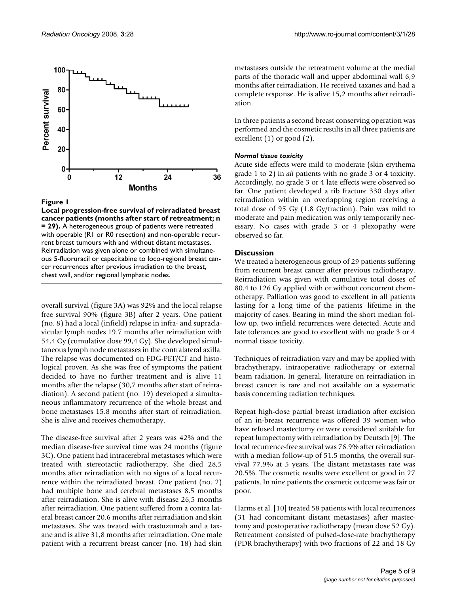

#### Figure 1

**Local progression-free survival of reirradiated breast cancer patients (months after start of retreatment; n = 29).** A heterogeneous group of patients were retreated with operable (R1 or R0 resection) and non-operable recurrent breast tumours with and without distant metastases. Reirradiation was given alone or combined with simultaneous 5-fluoruracil or capecitabine to loco-regional breast cancer recurrences after previous irradiation to the breast, chest wall, and/or regional lymphatic nodes.

overall survival (figure 3A) was 92% and the local relapse free survival 90% (figure 3B) after 2 years. One patient (no. 8) had a local (infield) relapse in infra- and supraclavicular lymph nodes 19.7 months after reirradiation with 54,4 Gy (cumulative dose 99,4 Gy). She developed simultaneous lymph node metastases in the contralateral axilla. The relapse was documented on FDG-PET/CT and histological proven. As she was free of symptoms the patient decided to have no further treatment and is alive 11 months after the relapse (30,7 months after start of reirradiation). A second patient (no. 19) developed a simultaneous inflammatory recurrence of the whole breast and bone metastases 15.8 months after start of reirradiation. She is alive and receives chemotherapy.

The disease-free survival after 2 years was 42% and the median disease-free survival time was 24 months (figure 3C). One patient had intracerebral metastases which were treated with stereotactic radiotherapy. She died 28,5 months after reirradiation with no signs of a local recurrence within the reirradiated breast. One patient (no. 2) had multiple bone and cerebral metastases 8,5 months after reirradiation. She is alive with disease 26,5 months after reirradiation. One patient suffered from a contra lateral breast cancer 20.6 months after reirradiation and skin metastases. She was treated with trastuzumab and a taxane and is alive 31,8 months after reirradiation. One male patient with a recurrent breast cancer (no. 18) had skin

metastases outside the retreatment volume at the medial parts of the thoracic wall and upper abdominal wall 6,9 months after reirradiation. He received taxanes and had a complete response. He is alive 15,2 months after reirradiation.

In three patients a second breast conserving operation was performed and the cosmetic results in all three patients are excellent (1) or good (2).

#### *Normal tissue toxicity*

Acute side effects were mild to moderate (skin erythema grade 1 to 2) in *all* patients with no grade 3 or 4 toxicity. Accordingly, no grade 3 or 4 late effects were observed so far. One patient developed a rib fracture 330 days after reirradiation within an overlapping region receiving a total dose of 95 Gy (1.8 Gy/fraction). Pain was mild to moderate and pain medication was only temporarily necessary. No cases with grade 3 or 4 plexopathy were observed so far.

#### **Discussion**

We treated a heterogeneous group of 29 patients suffering from recurrent breast cancer after previous radiotherapy. Reirradiation was given with cumulative total doses of 80.4 to 126 Gy applied with or without concurrent chemotherapy. Palliation was good to excellent in all patients lasting for a long time of the patients' lifetime in the majority of cases. Bearing in mind the short median follow up, two infield recurrences were detected. Acute and late tolerances are good to excellent with no grade 3 or 4 normal tissue toxicity.

Techniques of reirradiation vary and may be applied with brachytherapy, intraoperative radiotherapy or external beam radiation. In general, literature on reirradiation in breast cancer is rare and not available on a systematic basis concerning radiation techniques.

Repeat high-dose partial breast irradiation after excision of an in-breast recurrence was offered 39 women who have refused mastectomy or were considered suitable for repeat lumpectomy with reirradiation by Deutsch [9]. The local recurrence-free survival was 76.9% after reirradiation with a median follow-up of 51.5 months, the overall survival 77.9% at 5 years. The distant metastases rate was 20.5%. The cosmetic results were excellent or good in 27 patients. In nine patients the cosmetic outcome was fair or poor.

Harms et al. [10] treated 58 patients with local recurrences (31 had concomitant distant metastases) after mastectomy and postoperative radiotherapy (mean dose 52 Gy). Retreatment consisted of pulsed-dose-rate brachytherapy (PDR brachytherapy) with two fractions of 22 and 18 Gy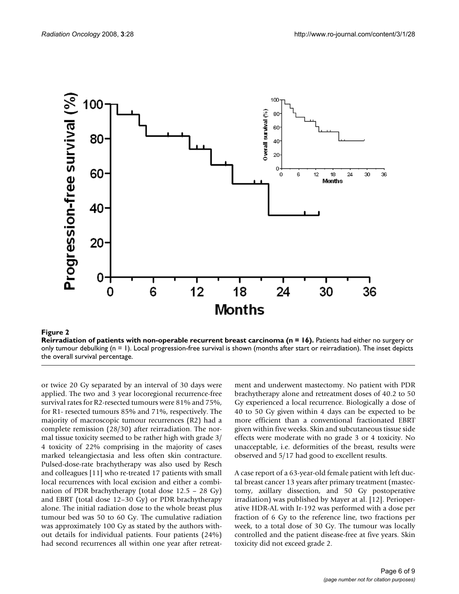

Reirradiation of patients with non-oper **Figure 2** able recurrent breast carcinoma (n = 16) **Reirradiation of patients with non-operable recurrent breast carcinoma (n = 16).** Patients had either no surgery or only tumour debulking  $(n = 1)$ . Local progression-free survival is shown (months after start or reirradiation). The inset depicts the overall survival percentage.

or twice 20 Gy separated by an interval of 30 days were applied. The two and 3 year locoregional recurrence-free survival rates for R2-resected tumours were 81% and 75%, for R1- resected tumours 85% and 71%, respectively. The majority of macroscopic tumour recurrences (R2) had a complete remission (28/30) after reirradiation. The normal tissue toxicity seemed to be rather high with grade 3/ 4 toxicity of 22% comprising in the majority of cases marked teleangiectasia and less often skin contracture. Pulsed-dose-rate brachytherapy was also used by Resch and colleagues [11] who re-treated 17 patients with small local recurrences with local excision and either a combination of PDR brachytherapy (total dose 12.5 – 28 Gy) and EBRT (total dose 12–30 Gy) or PDR brachytherapy alone. The initial radiation dose to the whole breast plus tumour bed was 50 to 60 Gy. The cumulative radiation was approximately 100 Gy as stated by the authors without details for individual patients. Four patients (24%) had second recurrences all within one year after retreatment and underwent mastectomy. No patient with PDR brachytherapy alone and retreatment doses of 40.2 to 50 Gy experienced a local recurrence. Biologically a dose of 40 to 50 Gy given within 4 days can be expected to be more efficient than a conventional fractionated EBRT given within five weeks. Skin and subcutaneous tissue side effects were moderate with no grade 3 or 4 toxicity. No unacceptable, i.e. deformities of the breast, results were observed and 5/17 had good to excellent results.

A case report of a 63-year-old female patient with left ductal breast cancer 13 years after primary treatment (mastectomy, axillary dissection, and 50 Gy postoperative irradiation) was published by Mayer at al. [12]. Perioperative HDR-AL with Ir-192 was performed with a dose per fraction of 6 Gy to the reference line, two fractions per week, to a total dose of 30 Gy. The tumour was locally controlled and the patient disease-free at five years. Skin toxicity did not exceed grade 2.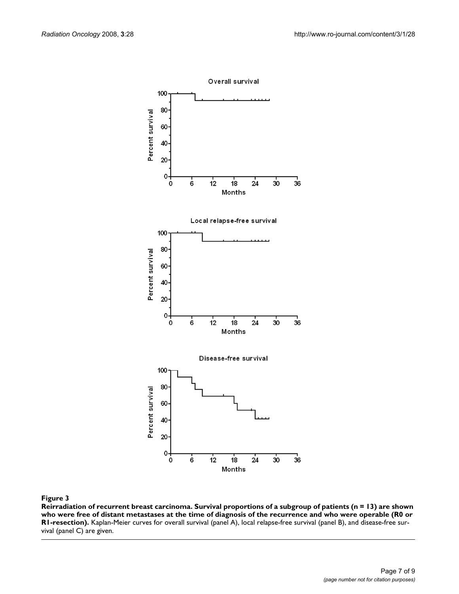

#### **Figure 3** Production of the contract of the contract of the contract of the contract of the contract of the contract of the contract of the contract of the contract of the contract of the contract of the contract of the c

**Reirradiation of recurrent breast carcinoma. Survival proportions of a subgroup of patients (n = 13) are shown who were free of distant metastases at the time of diagnosis of the recurrence and who were operable (R0 or R1-resection).** Kaplan-Meier curves for overall survival (panel A), local relapse-free survival (panel B), and disease-free survival (panel C) are given.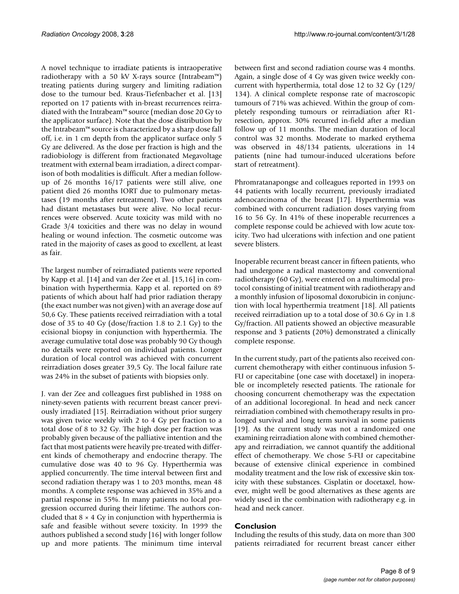A novel technique to irradiate patients is intraoperative radiotherapy with a 50 kV X-rays source (Intrabeam™) treating patients during surgery and limiting radiation dose to the tumour bed. Kraus-Tiefenbacher et al. [13] reported on 17 patients with in-breast recurrences reirradiated with the Intrabeam™ source (median dose 20 Gy to the applicator surface). Note that the dose distribution by the Intrabeam™ source is characterized by a sharp dose fall off, i.e. in 1 cm depth from the applicator surface only 5 Gy are delivered. As the dose per fraction is high and the radiobiology is different from fractionated Megavoltage treatment with external beam irradiation, a direct comparison of both modalities is difficult. After a median followup of 26 months 16/17 patients were still alive, one patient died 26 months IORT due to pulmonary metastases (19 months after retreatment). Two other patients had distant metastases but were alive. No local recurrences were observed. Acute toxicity was mild with no Grade 3/4 toxicities and there was no delay in wound healing or wound infection. The cosmetic outcome was rated in the majority of cases as good to excellent, at least as fair.

The largest number of reirradiated patients were reported by Kapp et al. [14] and van der Zee et al. [15,16] in combination with hyperthermia. Kapp et al. reported on 89 patients of which about half had prior radiation therapy (the exact number was not given) with an average dose auf 50,6 Gy. These patients received reirradiation with a total dose of 35 to 40 Gy (dose/fraction 1.8 to 2.1 Gy) to the ecisional biopsy in conjunction with hyperthermia. The average cumulative total dose was probably 90 Gy though no details were reported on individual patients. Longer duration of local control was achieved with concurrent reirradiation doses greater 39,5 Gy. The local failure rate was 24% in the subset of patients with biopsies only.

J. van der Zee and colleagues first published in 1988 on ninety-seven patients with recurrent breast cancer previously irradiated [15]. Reirradiation without prior surgery was given twice weekly with 2 to 4 Gy per fraction to a total dose of 8 to 32 Gy. The high dose per fraction was probably given because of the palliative intention and the fact that most patients were heavily pre-treated with different kinds of chemotherapy and endocrine therapy. The cumulative dose was 40 to 96 Gy. Hyperthermia was applied concurrently. The time interval between first and second radiation therapy was 1 to 203 months, mean 48 months. A complete response was achieved in 35% and a partial response in 55%. In many patients no local progression occurred during their lifetime. The authors concluded that  $8 \times 4$  Gy in conjunction with hyperthermia is safe and feasible without severe toxicity. In 1999 the authors published a second study [16] with longer follow up and more patients. The minimum time interval

between first and second radiation course was 4 months. Again, a single dose of 4 Gy was given twice weekly concurrent with hyperthermia, total dose 12 to 32 Gy (129/ 134). A clinical complete response rate of macroscopic tumours of 71% was achieved. Within the group of completely responding tumours or reirradiation after R1 resection, approx. 30% recurred in-field after a median follow up of 11 months. The median duration of local control was 32 months. Moderate to marked erythema was observed in 48/134 patients, ulcerations in 14 patients (nine had tumour-induced ulcerations before start of retreatment).

Phromratanapongse and colleagues reported in 1993 on 44 patients with locally recurrent, previously irradiated adenocarcinoma of the breast [17]. Hyperthermia was combined with concurrent radiation doses varying from 16 to 56 Gy. In 41% of these inoperable recurrences a complete response could be achieved with low acute toxicity. Two had ulcerations with infection and one patient severe blisters.

Inoperable recurrent breast cancer in fifteen patients, who had undergone a radical mastectomy and conventional radiotherapy (60 Gy), were entered on a multimodal protocol consisting of initial treatment with radiotherapy and a monthly infusion of liposomal doxorubicin in conjunction with local hyperthermia treatment [18]. All patients received reirradiation up to a total dose of 30.6 Gy in 1.8 Gy/fraction. All patients showed an objective measurable response and 3 patients (20%) demonstrated a clinically complete response.

In the current study, part of the patients also received concurrent chemotherapy with either continuous infusion 5- FU or capecitabine (one case with docetaxel) in inoperable or incompletely resected patients. The rationale for choosing concurrent chemotherapy was the expectation of an additional locoregional. In head and neck cancer reirradiation combined with chemotherapy results in prolonged survival and long term survival in some patients [19]. As the current study was not a randomized one examining reirradiation alone with combined chemotherapy and reirradiation, we cannot quantify the additional effect of chemotherapy. We chose 5-FU or capecitabine because of extensive clinical experience in combined modality treatment and the low risk of excessive skin toxicity with these substances. Cisplatin or docetaxel, however, might well be good alternatives as these agents are widely used in the combination with radiotherapy e.g. in head and neck cancer.

### **Conclusion**

Including the results of this study, data on more than 300 patients reirradiated for recurrent breast cancer either